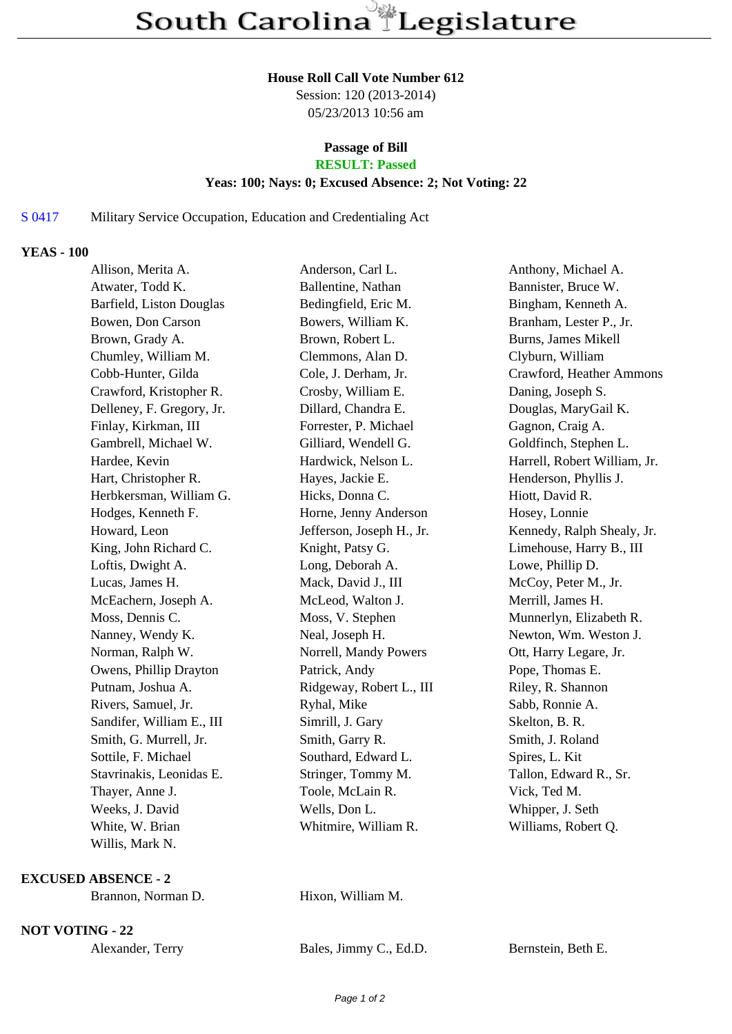#### **House Roll Call Vote Number 612**

Session: 120 (2013-2014) 05/23/2013 10:56 am

## **Passage of Bill**

# **RESULT: Passed**

## **Yeas: 100; Nays: 0; Excused Absence: 2; Not Voting: 22**

## S 0417 Military Service Occupation, Education and Credentialing Act

#### **YEAS - 100**

| Allison, Merita A.        | Anderson, Carl L.         | Anthony, Michael A.          |
|---------------------------|---------------------------|------------------------------|
| Atwater, Todd K.          | Ballentine, Nathan        | Bannister, Bruce W.          |
| Barfield, Liston Douglas  | Bedingfield, Eric M.      | Bingham, Kenneth A.          |
| Bowen, Don Carson         | Bowers, William K.        | Branham, Lester P., Jr.      |
| Brown, Grady A.           | Brown, Robert L.          | Burns, James Mikell          |
| Chumley, William M.       | Clemmons, Alan D.         | Clyburn, William             |
| Cobb-Hunter, Gilda        | Cole, J. Derham, Jr.      | Crawford, Heather Ammons     |
| Crawford, Kristopher R.   | Crosby, William E.        | Daning, Joseph S.            |
| Delleney, F. Gregory, Jr. | Dillard, Chandra E.       | Douglas, MaryGail K.         |
| Finlay, Kirkman, III      | Forrester, P. Michael     | Gagnon, Craig A.             |
| Gambrell, Michael W.      | Gilliard, Wendell G.      | Goldfinch, Stephen L.        |
| Hardee, Kevin             | Hardwick, Nelson L.       | Harrell, Robert William, Jr. |
| Hart, Christopher R.      | Hayes, Jackie E.          | Henderson, Phyllis J.        |
| Herbkersman, William G.   | Hicks, Donna C.           | Hiott, David R.              |
| Hodges, Kenneth F.        | Horne, Jenny Anderson     | Hosey, Lonnie                |
| Howard, Leon              | Jefferson, Joseph H., Jr. | Kennedy, Ralph Shealy, Jr.   |
| King, John Richard C.     | Knight, Patsy G.          | Limehouse, Harry B., III     |
| Loftis, Dwight A.         | Long, Deborah A.          | Lowe, Phillip D.             |
| Lucas, James H.           | Mack, David J., III       | McCoy, Peter M., Jr.         |
| McEachern, Joseph A.      | McLeod, Walton J.         | Merrill, James H.            |
| Moss, Dennis C.           | Moss, V. Stephen          | Munnerlyn, Elizabeth R.      |
| Nanney, Wendy K.          | Neal, Joseph H.           | Newton, Wm. Weston J.        |
| Norman, Ralph W.          | Norrell, Mandy Powers     | Ott, Harry Legare, Jr.       |
| Owens, Phillip Drayton    | Patrick, Andy             | Pope, Thomas E.              |
| Putnam, Joshua A.         | Ridgeway, Robert L., III  | Riley, R. Shannon            |
| Rivers, Samuel, Jr.       | Ryhal, Mike               | Sabb, Ronnie A.              |
| Sandifer, William E., III | Simrill, J. Gary          | Skelton, B. R.               |
| Smith, G. Murrell, Jr.    | Smith, Garry R.           | Smith, J. Roland             |
| Sottile, F. Michael       | Southard, Edward L.       | Spires, L. Kit               |
| Stavrinakis, Leonidas E.  | Stringer, Tommy M.        | Tallon, Edward R., Sr.       |
| Thayer, Anne J.           | Toole, McLain R.          | Vick, Ted M.                 |
| Weeks, J. David           | Wells, Don L.             | Whipper, J. Seth             |
| White, W. Brian           | Whitmire, William R.      | Williams, Robert Q.          |
| Willis, Mark N.           |                           |                              |

#### **EXCUSED ABSENCE - 2**

Hixon, William M.

**NOT VOTING - 22**

Alexander, Terry Bales, Jimmy C., Ed.D. Bernstein, Beth E.